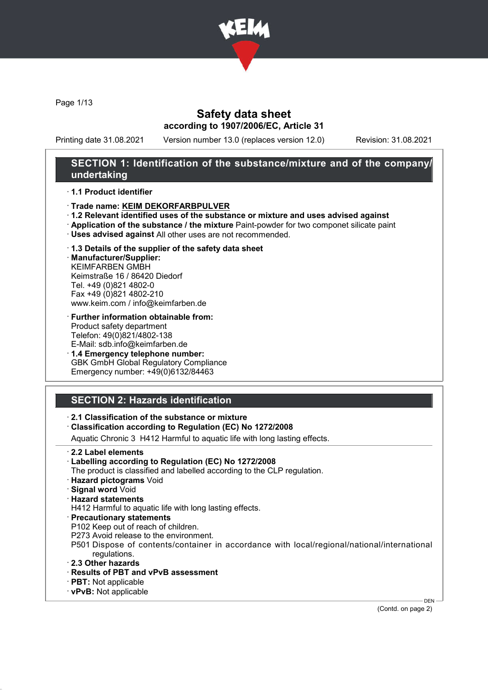

Page 1/13

### Safety data sheet according to 1907/2006/EC, Article 31

Printing date 31.08.2021 Version number 13.0 (replaces version 12.0) Revision: 31.08.2021

### SECTION 1: Identification of the substance/mixture and of the company/ undertaking

#### · 1.1 Product identifier

- · Trade name: KEIM DEKORFARBPULVER
- · 1.2 Relevant identified uses of the substance or mixture and uses advised against
- · Application of the substance / the mixture Paint-powder for two componet silicate paint
- · Uses advised against All other uses are not recommended.
- · 1.3 Details of the supplier of the safety data sheet

· Manufacturer/Supplier: KEIMFARBEN GMBH Keimstraße 16 / 86420 Diedorf Tel. +49 (0)821 4802-0 Fax +49 (0)821 4802-210 www.keim.com / info@keimfarben.de

- · Further information obtainable from: Product safety department Telefon: 49(0)821/4802-138 E-Mail: sdb.info@keimfarben.de
- · 1.4 Emergency telephone number: GBK GmbH Global Regulatory Compliance Emergency number: +49(0)6132/84463

## SECTION 2: Hazards identification

- · 2.1 Classification of the substance or mixture
- · Classification according to Regulation (EC) No 1272/2008

Aquatic Chronic 3 H412 Harmful to aquatic life with long lasting effects.

- · 2.2 Label elements
- · Labelling according to Regulation (EC) No 1272/2008
- The product is classified and labelled according to the CLP regulation.
- · Hazard pictograms Void
- · Signal word Void
- · Hazard statements

H412 Harmful to aquatic life with long lasting effects.

- · Precautionary statements
- P102 Keep out of reach of children.
- P273 Avoid release to the environment.
- P501 Dispose of contents/container in accordance with local/regional/national/international regulations.
- · 2.3 Other hazards
- · Results of PBT and vPvB assessment
- · PBT: Not applicable
- · vPvB: Not applicable

(Contd. on page 2)

DEN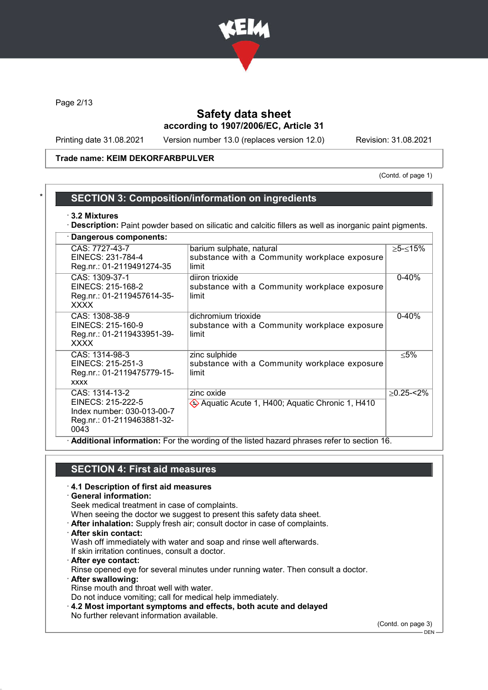

Page 2/13

## Safety data sheet according to 1907/2006/EC, Article 31

Printing date 31.08.2021 Version number 13.0 (replaces version 12.0) Revision: 31.08.2021

#### Trade name: KEIM DEKORFARBPULVER

(Contd. of page 1)

#### **SECTION 3: Composition/information on ingredients**

#### · 3.2 Mixtures

· Description: Paint powder based on silicatic and calcitic fillers as well as inorganic paint pigments.

| Dangerous components:                                                                                   |                                                                                    |               |  |  |
|---------------------------------------------------------------------------------------------------------|------------------------------------------------------------------------------------|---------------|--|--|
| CAS: 7727-43-7<br>EINECS: 231-784-4<br>Reg.nr.: 01-2119491274-35                                        | barium sulphate, natural<br>substance with a Community workplace exposure<br>limit | ≥5-≤15%       |  |  |
| CAS: 1309-37-1<br>EINECS: 215-168-2<br>Reg.nr.: 01-2119457614-35-<br>XXXX                               | diiron trioxide<br>substance with a Community workplace exposure<br>limit          | $0 - 40%$     |  |  |
| CAS: 1308-38-9<br>EINECS: 215-160-9<br>Reg.nr.: 01-2119433951-39-<br><b>XXXX</b>                        | dichromium trioxide<br>substance with a Community workplace exposure<br>limit      | $0 - 40%$     |  |  |
| CAS: 1314-98-3<br>EINECS: 215-251-3<br>Reg.nr.: 01-2119475779-15-<br><b>XXXX</b>                        | zinc sulphide<br>substance with a Community workplace exposure<br>limit            | ≤5%           |  |  |
| CAS: 1314-13-2<br>EINECS: 215-222-5<br>Index number: 030-013-00-7<br>Reg.nr.: 01-2119463881-32-<br>0043 | zinc oxide<br>Aquatic Acute 1, H400; Aquatic Chronic 1, H410                       | $>0.25 - 2\%$ |  |  |
| Additional information: For the wording of the listed hazard phrases refer to section 16.               |                                                                                    |               |  |  |

## SECTION 4: First aid measures

# · 4.1 Description of first aid measures

#### · General information:

Seek medical treatment in case of complaints.

- When seeing the doctor we suggest to present this safety data sheet.
- · After inhalation: Supply fresh air; consult doctor in case of complaints.
- · After skin contact:

Wash off immediately with water and soap and rinse well afterwards. If skin irritation continues, consult a doctor.

- · After eye contact:
- Rinse opened eye for several minutes under running water. Then consult a doctor.
- · After swallowing: Rinse mouth and throat well with water.

Do not induce vomiting; call for medical help immediately.

· 4.2 Most important symptoms and effects, both acute and delayed No further relevant information available.

(Contd. on page 3)

 $-$  DEN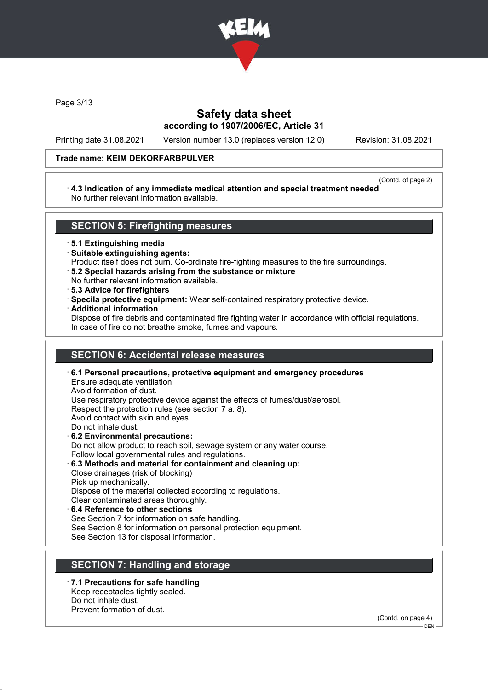

Page 3/13

## Safety data sheet according to 1907/2006/EC, Article 31

Printing date 31.08.2021 Version number 13.0 (replaces version 12.0) Revision: 31.08.2021

#### Trade name: KEIM DEKORFARBPULVER

#### (Contd. of page 2)

#### · 4.3 Indication of any immediate medical attention and special treatment needed No further relevant information available.

### SECTION 5: Firefighting measures

· 5.1 Extinguishing media

- · Suitable extinguishing agents:
- Product itself does not burn. Co-ordinate fire-fighting measures to the fire surroundings.
- · 5.2 Special hazards arising from the substance or mixture
- No further relevant information available.
- · 5.3 Advice for firefighters
- · Specila protective equipment: Wear self-contained respiratory protective device.
- · Additional information

Dispose of fire debris and contaminated fire fighting water in accordance with official regulations. In case of fire do not breathe smoke, fumes and vapours.

## SECTION 6: Accidental release measures

· 6.1 Personal precautions, protective equipment and emergency procedures Ensure adequate ventilation Avoid formation of dust. Use respiratory protective device against the effects of fumes/dust/aerosol. Respect the protection rules (see section 7 a. 8). Avoid contact with skin and eyes. Do not inhale dust. · 6.2 Environmental precautions: Do not allow product to reach soil, sewage system or any water course. Follow local governmental rules and regulations. · 6.3 Methods and material for containment and cleaning up: Close drainages (risk of blocking) Pick up mechanically.

Dispose of the material collected according to regulations.

- Clear contaminated areas thoroughly.
- 6.4 Reference to other sections See Section 7 for information on safe handling. See Section 8 for information on personal protection equipment. See Section 13 for disposal information.

## SECTION 7: Handling and storage

7.1 Precautions for safe handling Keep receptacles tightly sealed. Do not inhale dust. Prevent formation of dust.

> (Contd. on page 4)  $-$  DEN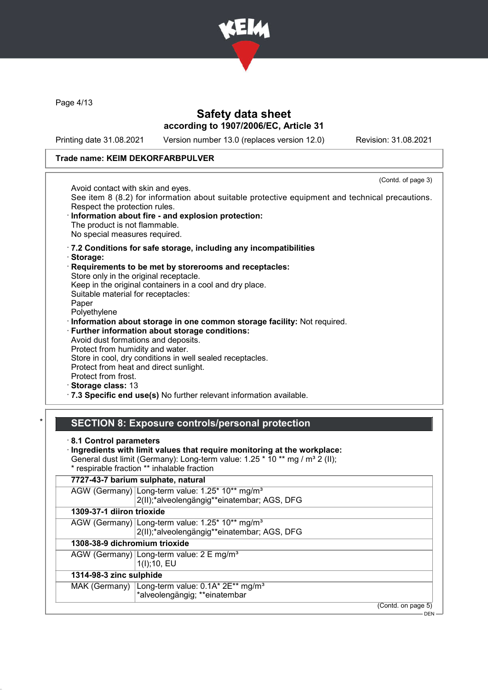

Page 4/13

## Safety data sheet according to 1907/2006/EC, Article 31

Printing date 31.08.2021 Version number 13.0 (replaces version 12.0) Revision: 31.08.2021

(Contd. of page 3)

#### Trade name: KEIM DEKORFARBPULVER

Avoid contact with skin and eyes.

See item 8 (8.2) for information about suitable protective equipment and technical precautions. Respect the protection rules.

- Information about fire and explosion protection: The product is not flammable. No special measures required.
- · 7.2 Conditions for safe storage, including any incompatibilities
- · Storage:
- Requirements to be met by storerooms and receptacles:

Store only in the original receptacle.

Keep in the original containers in a cool and dry place.

Suitable material for receptacles:

Paper Polyethylene

· Information about storage in one common storage facility: Not required.

· Further information about storage conditions: Avoid dust formations and deposits. Protect from humidity and water. Store in cool, dry conditions in well sealed receptacles.

Protect from heat and direct sunlight.

Protect from frost.

· Storage class: 13

· 7.3 Specific end use(s) No further relevant information available.

### SECTION 8: Exposure controls/personal protection

· 8.1 Control parameters

· Ingredients with limit values that require monitoring at the workplace:

General dust limit (Germany): Long-term value: 1.25  $*$  10  $**$  mg / m<sup>3</sup> 2 (II); \* respirable fraction \*\* inhalable fraction

|                               | 7727-43-7 barium sulphate, natural                                                                         |  |  |
|-------------------------------|------------------------------------------------------------------------------------------------------------|--|--|
|                               | AGW (Germany) Long-term value: 1.25* 10** mg/m <sup>3</sup><br>2(II);*alveolengängig**einatembar; AGS, DFG |  |  |
| 1309-37-1 diiron trioxide     |                                                                                                            |  |  |
|                               | AGW (Germany) Long-term value: 1.25* 10** mg/m <sup>3</sup><br>2(II);*alveolengängig**einatembar; AGS, DFG |  |  |
| 1308-38-9 dichromium trioxide |                                                                                                            |  |  |
|                               | AGW (Germany) Long-term value: 2 E mg/m <sup>3</sup><br>1(1); 10, EU                                       |  |  |
| 1314-98-3 zinc sulphide       |                                                                                                            |  |  |
|                               | MAK (Germany) Long-term value: 0.1A* 2E** mg/m <sup>3</sup><br>*alveolengängig; **einatembar               |  |  |
|                               | (Contd. on page 5)                                                                                         |  |  |

DEN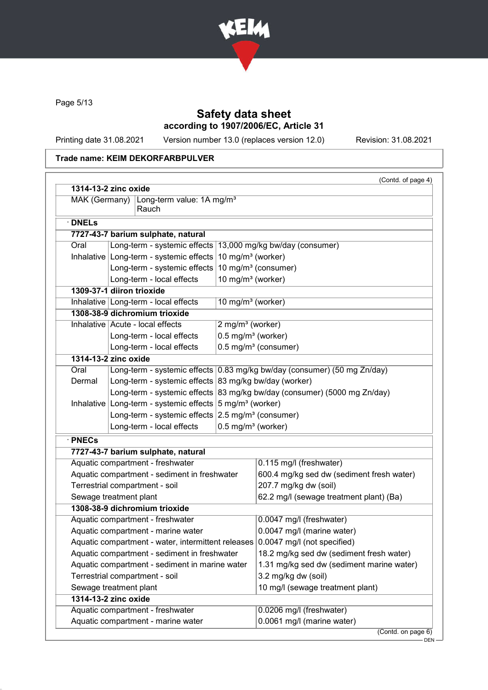

Page 5/13

## Safety data sheet according to 1907/2006/EC, Article 31

Printing date 31.08.2021 Version number 13.0 (replaces version 12.0) Revision: 31.08.2021

### Trade name: KEIM DEKORFARBPULVER

|                                                                                | 1314-13-2 zinc oxide                                                 |                                  |                                                                          |  |  |
|--------------------------------------------------------------------------------|----------------------------------------------------------------------|----------------------------------|--------------------------------------------------------------------------|--|--|
| MAK (Germany)<br>Long-term value: 1A mg/m <sup>3</sup><br>Rauch                |                                                                      |                                  |                                                                          |  |  |
| $\cdot$ DNELs                                                                  |                                                                      |                                  |                                                                          |  |  |
|                                                                                | 7727-43-7 barium sulphate, natural                                   |                                  |                                                                          |  |  |
| Oral                                                                           |                                                                      |                                  |                                                                          |  |  |
|                                                                                | Inhalative Long-term - systemic effects $10 \text{ mg/m}^3$ (worker) |                                  | Long-term - systemic effects   13,000 mg/kg bw/day (consumer)            |  |  |
|                                                                                | Long-term - systemic effects $10 \text{ mg/m}^3$ (consumer)          |                                  |                                                                          |  |  |
|                                                                                | Long-term - local effects                                            | 10 mg/m <sup>3</sup> (worker)    |                                                                          |  |  |
|                                                                                | 1309-37-1 diiron trioxide                                            |                                  |                                                                          |  |  |
|                                                                                | Inhalative Long-term - local effects                                 | $10$ mg/m <sup>3</sup> (worker)  |                                                                          |  |  |
|                                                                                | 1308-38-9 dichromium trioxide                                        |                                  |                                                                          |  |  |
|                                                                                | Inhalative Acute - local effects                                     | 2 mg/m <sup>3</sup> (worker)     |                                                                          |  |  |
|                                                                                | Long-term - local effects                                            | $0.5$ mg/m <sup>3</sup> (worker) |                                                                          |  |  |
|                                                                                | Long-term - local effects                                            |                                  | 0.5 mg/m <sup>3</sup> (consumer)                                         |  |  |
|                                                                                | 1314-13-2 zinc oxide                                                 |                                  |                                                                          |  |  |
| Oral                                                                           |                                                                      |                                  | Long-term - systemic effects 0.83 mg/kg bw/day (consumer) (50 mg Zn/day) |  |  |
| Dermal                                                                         | Long-term - systemic effects 83 mg/kg bw/day (worker)                |                                  |                                                                          |  |  |
|                                                                                |                                                                      |                                  | Long-term - systemic effects 83 mg/kg bw/day (consumer) (5000 mg Zn/day) |  |  |
|                                                                                | Inhalative Long-term - systemic effects $5 \text{ mg/m}^3$ (worker)  |                                  |                                                                          |  |  |
|                                                                                | Long-term - systemic effects $2.5 \text{ mg/m}^3$ (consumer)         |                                  |                                                                          |  |  |
|                                                                                | Long-term - local effects                                            |                                  | 0.5 mg/m <sup>3</sup> (worker)                                           |  |  |
| · PNECs                                                                        |                                                                      |                                  |                                                                          |  |  |
|                                                                                | 7727-43-7 barium sulphate, natural                                   |                                  |                                                                          |  |  |
|                                                                                | Aquatic compartment - freshwater                                     |                                  | 0.115 mg/l (freshwater)                                                  |  |  |
|                                                                                | Aquatic compartment - sediment in freshwater                         |                                  | 600.4 mg/kg sed dw (sediment fresh water)                                |  |  |
|                                                                                | Terrestrial compartment - soil                                       |                                  | 207.7 mg/kg dw (soil)                                                    |  |  |
|                                                                                | Sewage treatment plant                                               |                                  | 62.2 mg/l (sewage treatment plant) (Ba)                                  |  |  |
|                                                                                | 1308-38-9 dichromium trioxide                                        |                                  |                                                                          |  |  |
|                                                                                | Aquatic compartment - freshwater                                     |                                  | 0.0047 mg/l (freshwater)                                                 |  |  |
|                                                                                | Aquatic compartment - marine water                                   |                                  | 0.0047 mg/l (marine water)                                               |  |  |
| Aquatic compartment - water, intermittent releases 0.0047 mg/l (not specified) |                                                                      |                                  |                                                                          |  |  |
| Aquatic compartment - sediment in freshwater                                   |                                                                      |                                  | 18.2 mg/kg sed dw (sediment fresh water)                                 |  |  |
|                                                                                | Aquatic compartment - sediment in marine water                       |                                  | 1.31 mg/kg sed dw (sediment marine water)                                |  |  |
|                                                                                | Terrestrial compartment - soil                                       |                                  | 3.2 mg/kg dw (soil)                                                      |  |  |
|                                                                                | Sewage treatment plant                                               |                                  | 10 mg/l (sewage treatment plant)                                         |  |  |
|                                                                                | 1314-13-2 zinc oxide                                                 |                                  |                                                                          |  |  |
|                                                                                | Aquatic compartment - freshwater                                     |                                  | 0.0206 mg/l (freshwater)                                                 |  |  |
|                                                                                | Aquatic compartment - marine water                                   |                                  | 0.0061 mg/l (marine water)                                               |  |  |

DEN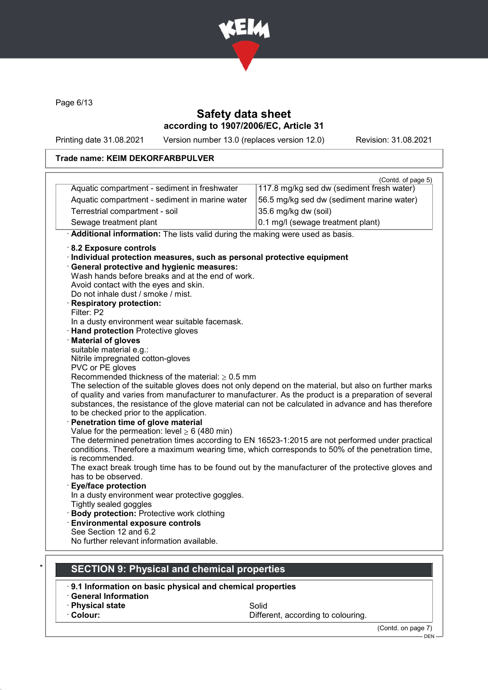

Page 6/13

## Safety data sheet according to 1907/2006/EC, Article 31

Printing date 31.08.2021 Version number 13.0 (replaces version 12.0) Revision: 31.08.2021

### Trade name: KEIM DEKORFARBPULVER

| Aquatic compartment - sediment in freshwater                                                                                                                                                                | (Contd. of page 5)<br>117.8 mg/kg sed dw (sediment fresh water) |
|-------------------------------------------------------------------------------------------------------------------------------------------------------------------------------------------------------------|-----------------------------------------------------------------|
| Aquatic compartment - sediment in marine water                                                                                                                                                              | 56.5 mg/kg sed dw (sediment marine water)                       |
| Terrestrial compartment - soil                                                                                                                                                                              | 35.6 mg/kg dw (soil)                                            |
|                                                                                                                                                                                                             |                                                                 |
| Sewage treatment plant                                                                                                                                                                                      | 0.1 mg/l (sewage treatment plant)                               |
| Additional information: The lists valid during the making were used as basis.                                                                                                                               |                                                                 |
| 8.2 Exposure controls                                                                                                                                                                                       |                                                                 |
| · Individual protection measures, such as personal protective equipment                                                                                                                                     |                                                                 |
| · General protective and hygienic measures:                                                                                                                                                                 |                                                                 |
| Wash hands before breaks and at the end of work.                                                                                                                                                            |                                                                 |
| Avoid contact with the eyes and skin.                                                                                                                                                                       |                                                                 |
| Do not inhale dust / smoke / mist.                                                                                                                                                                          |                                                                 |
| <b>Respiratory protection:</b>                                                                                                                                                                              |                                                                 |
| Filter: P2                                                                                                                                                                                                  |                                                                 |
| In a dusty environment wear suitable facemask.                                                                                                                                                              |                                                                 |
| <b>Hand protection Protective gloves</b>                                                                                                                                                                    |                                                                 |
| <b>Material of gloves</b>                                                                                                                                                                                   |                                                                 |
| suitable material e.g.:                                                                                                                                                                                     |                                                                 |
| Nitrile impregnated cotton-gloves                                                                                                                                                                           |                                                                 |
| PVC or PE gloves                                                                                                                                                                                            |                                                                 |
| Recommended thickness of the material: $\geq 0.5$ mm                                                                                                                                                        |                                                                 |
| The selection of the suitable gloves does not only depend on the material, but also on further marks<br>of quality and varies from manufacturer to manufacturer. As the product is a preparation of several |                                                                 |
| substances, the resistance of the glove material can not be calculated in advance and has therefore                                                                                                         |                                                                 |
| to be checked prior to the application.                                                                                                                                                                     |                                                                 |
| Penetration time of glove material                                                                                                                                                                          |                                                                 |
| Value for the permeation: level $\geq 6$ (480 min)                                                                                                                                                          |                                                                 |
| The determined penetration times according to EN 16523-1:2015 are not performed under practical                                                                                                             |                                                                 |
| conditions. Therefore a maximum wearing time, which corresponds to 50% of the penetration time,                                                                                                             |                                                                 |
| is recommended.                                                                                                                                                                                             |                                                                 |
| The exact break trough time has to be found out by the manufacturer of the protective gloves and                                                                                                            |                                                                 |
| has to be observed.                                                                                                                                                                                         |                                                                 |
| <b>Eye/face protection</b>                                                                                                                                                                                  |                                                                 |
| In a dusty environment wear protective goggles.                                                                                                                                                             |                                                                 |
| Tightly sealed goggles                                                                                                                                                                                      |                                                                 |
| <b>Body protection: Protective work clothing</b>                                                                                                                                                            |                                                                 |
| <b>Environmental exposure controls</b>                                                                                                                                                                      |                                                                 |
| See Section 12 and 6.2                                                                                                                                                                                      |                                                                 |
| No further relevant information available.                                                                                                                                                                  |                                                                 |
|                                                                                                                                                                                                             |                                                                 |
|                                                                                                                                                                                                             |                                                                 |
| <b>SECTION 9: Physical and chemical properties</b>                                                                                                                                                          |                                                                 |

- · General Information
- **Physical state** Solid<br>• **Colour:** Solid Colour: Solid Differ
- 

Different, according to colouring.

(Contd. on page 7)

<sup>-</sup> DEN-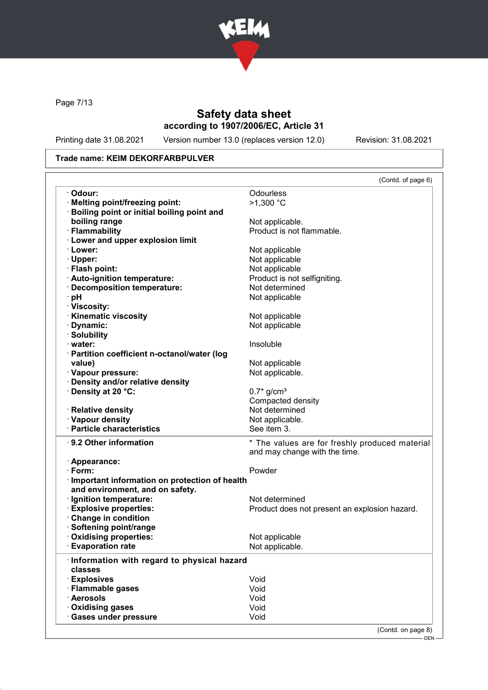

Page 7/13

## Safety data sheet according to 1907/2006/EC, Article 31

Printing date 31.08.2021 Version number 13.0 (replaces version 12.0) Revision: 31.08.2021

#### Trade name: KEIM DEKORFARBPULVER

|                                                 | (Contd. of page 6)                             |
|-------------------------------------------------|------------------------------------------------|
| · Odour:                                        | Odourless                                      |
| · Melting point/freezing point:                 | $>1,300$ °C                                    |
| · Boiling point or initial boiling point and    |                                                |
| boiling range                                   | Not applicable.                                |
| · Flammability                                  | Product is not flammable.                      |
| <b>Lower and upper explosion limit</b>          |                                                |
| · Lower:                                        | Not applicable                                 |
| $\cdot$ Upper:                                  | Not applicable                                 |
| · Flash point:                                  | Not applicable                                 |
| · Auto-ignition temperature:                    | Product is not selfigniting.                   |
| <b>Decomposition temperature:</b>               | Not determined                                 |
| pH                                              | Not applicable                                 |
| · Viscosity:                                    |                                                |
| · Kinematic viscosity                           | Not applicable                                 |
| · Dynamic:                                      | Not applicable                                 |
| · Solubility                                    |                                                |
| $\cdot$ water:                                  | Insoluble                                      |
| · Partition coefficient n-octanol/water (log    |                                                |
|                                                 |                                                |
| value)                                          | Not applicable                                 |
| · Vapour pressure:                              | Not applicable.                                |
| · Density and/or relative density               |                                                |
| Density at 20 °C:                               | $0.7*$ g/cm <sup>3</sup>                       |
|                                                 | Compacted density                              |
| · Relative density                              | Not determined                                 |
| · Vapour density                                | Not applicable.                                |
| · Particle characteristics                      | See item 3.                                    |
| ⋅ 9.2 Other information                         | * The values are for freshly produced material |
|                                                 | and may change with the time.                  |
| · Appearance:                                   |                                                |
| $\cdot$ Form:                                   | Powder                                         |
| · Important information on protection of health |                                                |
| and environment, and on safety.                 |                                                |
| · Ignition temperature:                         | Not determined                                 |
| · Explosive properties:                         | Product does not present an explosion hazard.  |
| Change in condition                             |                                                |
| · Softening point/range                         |                                                |
| · Oxidising properties:                         | Not applicable                                 |
| <b>Evaporation rate</b>                         | Not applicable.                                |
| · Information with regard to physical hazard    |                                                |
| classes                                         |                                                |
| <b>Explosives</b>                               | Void                                           |
| · Flammable gases                               | Void                                           |
|                                                 |                                                |
|                                                 |                                                |
| · Aerosols                                      | Void                                           |
| · Oxidising gases<br>· Gases under pressure     | Void<br>Void                                   |

(Contd. on page 8)

DEN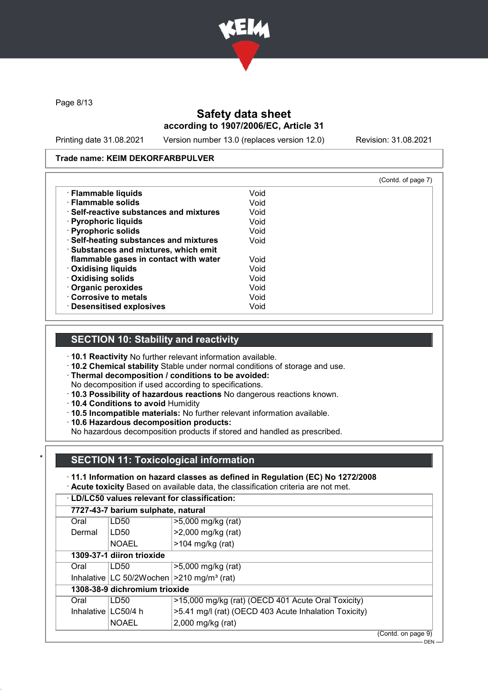

Page 8/13

## Safety data sheet according to 1907/2006/EC, Article 31

Printing date 31.08.2021 Version number 13.0 (replaces version 12.0) Revision: 31.08.2021

#### Trade name: KEIM DEKORFARBPULVER

|                                         |      | (Contd. of page 7) |
|-----------------------------------------|------|--------------------|
| · Flammable liquids                     | Void |                    |
| · Flammable solids                      | Void |                    |
| ⋅ Self-reactive substances and mixtures | Void |                    |
| $\cdot$ Pyrophoric liquids              | Void |                    |
| · Pyrophoric solids                     | Void |                    |
| · Self-heating substances and mixtures  | Void |                    |
| · Substances and mixtures, which emit   |      |                    |
| flammable gases in contact with water   | Void |                    |
| <b>Oxidising liquids</b>                | Void |                    |
| Oxidising solids                        | Void |                    |
| Organic peroxides                       | Void |                    |
| Corrosive to metals                     | Void |                    |
| <b>Desensitised explosives</b>          | Void |                    |

### SECTION 10: Stability and reactivity

· 10.1 Reactivity No further relevant information available.

· 10.2 Chemical stability Stable under normal conditions of storage and use.

· Thermal decomposition / conditions to be avoided:

No decomposition if used according to specifications.

- · 10.3 Possibility of hazardous reactions No dangerous reactions known.
- · 10.4 Conditions to avoid Humidity
- · 10.5 Incompatible materials: No further relevant information available.
- · 10.6 Hazardous decomposition products:

No hazardous decomposition products if stored and handled as prescribed.

## **SECTION 11: Toxicological information**

· 11.1 Information on hazard classes as defined in Regulation (EC) No 1272/2008

· Acute toxicity Based on available data, the classification criteria are not met.

| <b>LD/LC50 values relevant for classification:</b> |
|----------------------------------------------------|
|----------------------------------------------------|

| 7727-43-7 barium sulphate, natural |                               |                                                          |                                 |  |
|------------------------------------|-------------------------------|----------------------------------------------------------|---------------------------------|--|
| Oral                               | LD50                          | >5,000 mg/kg (rat)                                       |                                 |  |
| Dermal                             | LD50                          | >2,000 mg/kg (rat)                                       |                                 |  |
|                                    | <b>NOAEL</b>                  | $>104$ mg/kg (rat)                                       |                                 |  |
|                                    | 1309-37-1 diiron trioxide     |                                                          |                                 |  |
| Oral                               | LD50                          | >5,000 mg/kg (rat)                                       |                                 |  |
|                                    |                               | Inhalative LC 50/2Wochen $ >210$ mg/m <sup>3</sup> (rat) |                                 |  |
|                                    | 1308-38-9 dichromium trioxide |                                                          |                                 |  |
| Oral                               | LD50                          | >15,000 mg/kg (rat) (OECD 401 Acute Oral Toxicity)       |                                 |  |
| Inhalative   LC50/4 h              |                               | >5.41 mg/l (rat) (OECD 403 Acute Inhalation Toxicity)    |                                 |  |
|                                    | <b>NOAEL</b>                  | 2,000 mg/kg (rat)                                        |                                 |  |
|                                    |                               |                                                          | $(Control \cap \text{name } Q)$ |  |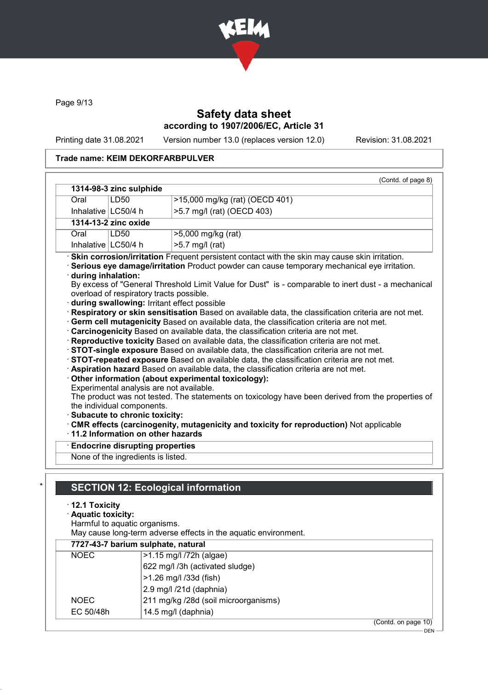

Page 9/13

## Safety data sheet according to 1907/2006/EC, Article 31

Printing date 31.08.2021 Version number 13.0 (replaces version 12.0) Revision: 31.08.2021

### Trade name: KEIM DEKORFARBPULVER

| 1314-98-3 zinc sulphide<br>LD50<br>>15,000 mg/kg (rat) (OECD 401)<br>Oral<br>Inhalative   LC50/4 h<br>>5.7 mg/l (rat) (OECD 403)<br>1314-13-2 zinc oxide<br>Oral<br>LD50<br>>5,000 mg/kg (rat)<br>Inhalative LC50/4 h<br>>5.7 mg/l (rat)<br>· Skin corrosion/irritation Frequent persistent contact with the skin may cause skin irritation.<br>Serious eye damage/irritation Product powder can cause temporary mechanical eye irritation.<br>during inhalation:<br>By excess of "General Threshold Limit Value for Dust" is - comparable to inert dust - a mechanical<br>overload of respiratory tracts possible.<br>during swallowing: Irritant effect possible<br>Respiratory or skin sensitisation Based on available data, the classification criteria are not met.<br>· Germ cell mutagenicity Based on available data, the classification criteria are not met.<br>· Carcinogenicity Based on available data, the classification criteria are not met.<br>· Reproductive toxicity Based on available data, the classification criteria are not met.<br>STOT-single exposure Based on available data, the classification criteria are not met.<br>STOT-repeated exposure Based on available data, the classification criteria are not met.<br>· Aspiration hazard Based on available data, the classification criteria are not met.<br>Other information (about experimental toxicology):<br>Experimental analysis are not available.<br>The product was not tested. The statements on toxicology have been derived from the properties of<br>the individual components.<br>Subacute to chronic toxicity:<br>CMR effects (carcinogenity, mutagenicity and toxicity for reproduction) Not applicable<br>11.2 Information on other hazards<br><b>Endocrine disrupting properties</b><br>None of the ingredients is listed.<br><b>SECTION 12: Ecological information</b><br>$\cdot$ 12.1 Toxicity<br>· Aquatic toxicity:<br>Harmful to aquatic organisms.<br>May cause long-term adverse effects in the aquatic environment.<br>7727-43-7 barium sulphate, natural |  |  | (Contd. of page 8) |  |  |
|------------------------------------------------------------------------------------------------------------------------------------------------------------------------------------------------------------------------------------------------------------------------------------------------------------------------------------------------------------------------------------------------------------------------------------------------------------------------------------------------------------------------------------------------------------------------------------------------------------------------------------------------------------------------------------------------------------------------------------------------------------------------------------------------------------------------------------------------------------------------------------------------------------------------------------------------------------------------------------------------------------------------------------------------------------------------------------------------------------------------------------------------------------------------------------------------------------------------------------------------------------------------------------------------------------------------------------------------------------------------------------------------------------------------------------------------------------------------------------------------------------------------------------------------------------------------------------------------------------------------------------------------------------------------------------------------------------------------------------------------------------------------------------------------------------------------------------------------------------------------------------------------------------------------------------------------------------------------------------------------------------------------------------------------------------------------|--|--|--------------------|--|--|
|                                                                                                                                                                                                                                                                                                                                                                                                                                                                                                                                                                                                                                                                                                                                                                                                                                                                                                                                                                                                                                                                                                                                                                                                                                                                                                                                                                                                                                                                                                                                                                                                                                                                                                                                                                                                                                                                                                                                                                                                                                                                        |  |  |                    |  |  |
|                                                                                                                                                                                                                                                                                                                                                                                                                                                                                                                                                                                                                                                                                                                                                                                                                                                                                                                                                                                                                                                                                                                                                                                                                                                                                                                                                                                                                                                                                                                                                                                                                                                                                                                                                                                                                                                                                                                                                                                                                                                                        |  |  |                    |  |  |
|                                                                                                                                                                                                                                                                                                                                                                                                                                                                                                                                                                                                                                                                                                                                                                                                                                                                                                                                                                                                                                                                                                                                                                                                                                                                                                                                                                                                                                                                                                                                                                                                                                                                                                                                                                                                                                                                                                                                                                                                                                                                        |  |  |                    |  |  |
|                                                                                                                                                                                                                                                                                                                                                                                                                                                                                                                                                                                                                                                                                                                                                                                                                                                                                                                                                                                                                                                                                                                                                                                                                                                                                                                                                                                                                                                                                                                                                                                                                                                                                                                                                                                                                                                                                                                                                                                                                                                                        |  |  |                    |  |  |
|                                                                                                                                                                                                                                                                                                                                                                                                                                                                                                                                                                                                                                                                                                                                                                                                                                                                                                                                                                                                                                                                                                                                                                                                                                                                                                                                                                                                                                                                                                                                                                                                                                                                                                                                                                                                                                                                                                                                                                                                                                                                        |  |  |                    |  |  |
|                                                                                                                                                                                                                                                                                                                                                                                                                                                                                                                                                                                                                                                                                                                                                                                                                                                                                                                                                                                                                                                                                                                                                                                                                                                                                                                                                                                                                                                                                                                                                                                                                                                                                                                                                                                                                                                                                                                                                                                                                                                                        |  |  |                    |  |  |
|                                                                                                                                                                                                                                                                                                                                                                                                                                                                                                                                                                                                                                                                                                                                                                                                                                                                                                                                                                                                                                                                                                                                                                                                                                                                                                                                                                                                                                                                                                                                                                                                                                                                                                                                                                                                                                                                                                                                                                                                                                                                        |  |  |                    |  |  |
|                                                                                                                                                                                                                                                                                                                                                                                                                                                                                                                                                                                                                                                                                                                                                                                                                                                                                                                                                                                                                                                                                                                                                                                                                                                                                                                                                                                                                                                                                                                                                                                                                                                                                                                                                                                                                                                                                                                                                                                                                                                                        |  |  |                    |  |  |
| <b>NOEC</b><br>$>1.5$ mg/l $/72h$ (algae)                                                                                                                                                                                                                                                                                                                                                                                                                                                                                                                                                                                                                                                                                                                                                                                                                                                                                                                                                                                                                                                                                                                                                                                                                                                                                                                                                                                                                                                                                                                                                                                                                                                                                                                                                                                                                                                                                                                                                                                                                              |  |  |                    |  |  |

| <b>NOEC</b> | >1.15 mg/l /72h (algae)              |                     |
|-------------|--------------------------------------|---------------------|
|             | 622 mg/l /3h (activated sludge)      |                     |
|             | >1.26 mg/l /33d (fish)               |                     |
|             | 2.9 mg/l /21d (daphnia)              |                     |
| <b>NOEC</b> | 211 mg/kg /28d (soil microorganisms) |                     |
| EC 50/48h   | 14.5 mg/l (daphnia)                  |                     |
|             |                                      | (Contd. on page 10) |

DEN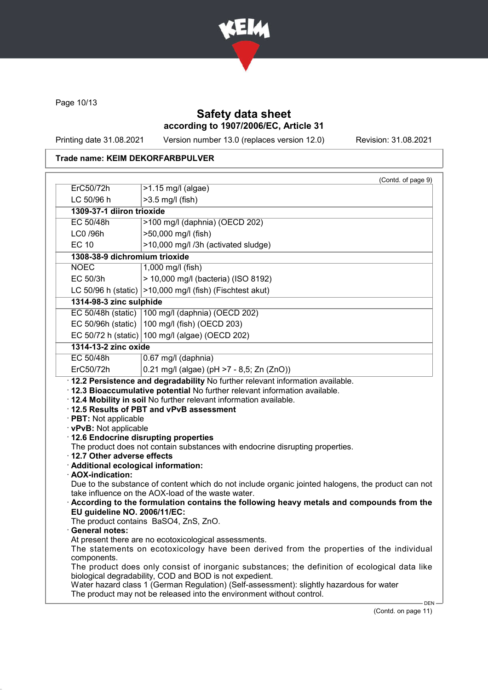

Page 10/13

## Safety data sheet according to 1907/2006/EC, Article 31

Printing date 31.08.2021 Version number 13.0 (replaces version 12.0) Revision: 31.08.2021

## Trade name: KEIM DEKORFARBPULVER

|                                      | (Contd. of page 9)                                                                                                                                                                                                                                                                |
|--------------------------------------|-----------------------------------------------------------------------------------------------------------------------------------------------------------------------------------------------------------------------------------------------------------------------------------|
| ErC50/72h                            | >1.15 mg/l (algae)                                                                                                                                                                                                                                                                |
| LC 50/96 h                           | >3.5 mg/l (fish)                                                                                                                                                                                                                                                                  |
| 1309-37-1 diiron trioxide            |                                                                                                                                                                                                                                                                                   |
| EC 50/48h                            | >100 mg/l (daphnia) (OECD 202)                                                                                                                                                                                                                                                    |
| LC0 /96h                             | >50,000 mg/l (fish)                                                                                                                                                                                                                                                               |
| <b>EC 10</b>                         | >10,000 mg/l /3h (activated sludge)                                                                                                                                                                                                                                               |
| 1308-38-9 dichromium trioxide        |                                                                                                                                                                                                                                                                                   |
| <b>NOEC</b>                          | 1,000 mg/l (fish)                                                                                                                                                                                                                                                                 |
| EC 50/3h                             | > 10,000 mg/l (bacteria) (ISO 8192)                                                                                                                                                                                                                                               |
|                                      | LC 50/96 h (static) $ >10,000$ mg/l (fish) (Fischtest akut)                                                                                                                                                                                                                       |
| 1314-98-3 zinc sulphide              |                                                                                                                                                                                                                                                                                   |
|                                      | EC 50/48h (static)   100 mg/l (daphnia) (OECD 202)                                                                                                                                                                                                                                |
|                                      | EC 50/96h (static) $ 100 \text{ mg/l}$ (fish) (OECD 203)                                                                                                                                                                                                                          |
|                                      | EC 50/72 h (static) 100 mg/l (algae) (OECD 202)                                                                                                                                                                                                                                   |
| 1314-13-2 zinc oxide                 |                                                                                                                                                                                                                                                                                   |
| EC 50/48h                            | 0.67 mg/l (daphnia)                                                                                                                                                                                                                                                               |
|                                      |                                                                                                                                                                                                                                                                                   |
| ErC50/72h                            | 0.21 mg/l (algae) (pH >7 - 8,5; Zn (ZnO))<br>· 12.2 Persistence and degradability No further relevant information available.<br>· 12.3 Bioaccumulative potential No further relevant information available.<br>· 12.4 Mobility in soil No further relevant information available. |
|                                      | 12.5 Results of PBT and vPvB assessment                                                                                                                                                                                                                                           |
| · PBT: Not applicable                |                                                                                                                                                                                                                                                                                   |
| · vPvB: Not applicable               |                                                                                                                                                                                                                                                                                   |
|                                      | 12.6 Endocrine disrupting properties<br>The product does not contain substances with endocrine disrupting properties.                                                                                                                                                             |
| 12.7 Other adverse effects           |                                                                                                                                                                                                                                                                                   |
| · Additional ecological information: |                                                                                                                                                                                                                                                                                   |
| · AOX-indication:                    |                                                                                                                                                                                                                                                                                   |
|                                      |                                                                                                                                                                                                                                                                                   |
|                                      | take influence on the AOX-load of the waste water.                                                                                                                                                                                                                                |
| EU guideline NO. 2006/11/EC:         |                                                                                                                                                                                                                                                                                   |
|                                      | The product contains BaSO4, ZnS, ZnO.                                                                                                                                                                                                                                             |
| <b>General notes:</b>                | Due to the substance of content which do not include organic jointed halogens, the product can not<br>According to the formulation contains the following heavy metals and compounds from the                                                                                     |
|                                      | At present there are no ecotoxicological assessments.                                                                                                                                                                                                                             |
| components.                          |                                                                                                                                                                                                                                                                                   |
|                                      | The statements on ecotoxicology have been derived from the properties of the individual<br>The product does only consist of inorganic substances; the definition of ecological data like                                                                                          |
|                                      | biological degradability, COD and BOD is not expedient.<br>Water hazard class 1 (German Regulation) (Self-assessment): slightly hazardous for water                                                                                                                               |

(Contd. on page 11)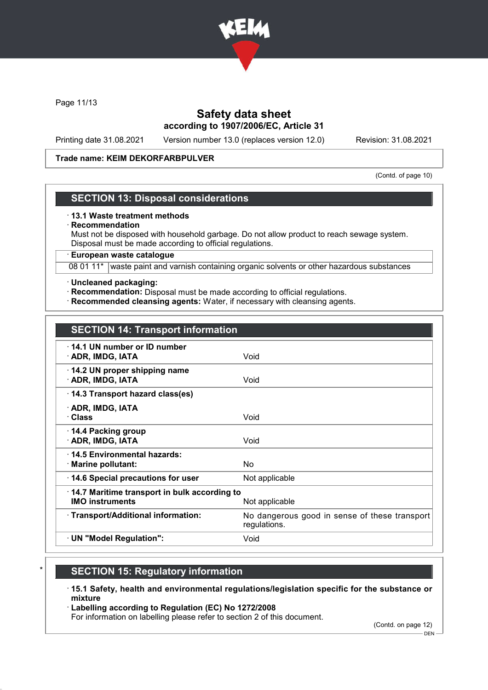

Page 11/13

## Safety data sheet according to 1907/2006/EC, Article 31

Printing date 31.08.2021 Version number 13.0 (replaces version 12.0) Revision: 31.08.2021

#### Trade name: KEIM DEKORFARBPULVER

(Contd. of page 10)

#### SECTION 13: Disposal considerations

#### · 13.1 Waste treatment methods

#### **Recommendation**

Must not be disposed with household garbage. Do not allow product to reach sewage system. Disposal must be made according to official regulations.

· European waste catalogue

08 01 11\* waste paint and varnish containing organic solvents or other hazardous substances

#### · Uncleaned packaging:

- · Recommendation: Disposal must be made according to official regulations.
- · Recommended cleansing agents: Water, if necessary with cleansing agents.

| <b>SECTION 14: Transport information</b> |  |
|------------------------------------------|--|
|                                          |  |

| $\cdot$ 14.1 UN number or ID number<br>· ADR, IMDG, IATA                                         | Void                                                          |
|--------------------------------------------------------------------------------------------------|---------------------------------------------------------------|
| 14.2 UN proper shipping name<br>· ADR, IMDG, IATA                                                | Void                                                          |
| 14.3 Transport hazard class(es)                                                                  |                                                               |
| · ADR, IMDG, IATA<br>· Class                                                                     | Void                                                          |
| 14.4 Packing group<br>· ADR, IMDG, IATA                                                          | Void                                                          |
| ⋅14.5 Environmental hazards:<br>· Marine pollutant:                                              | No.                                                           |
| 14.6 Special precautions for user                                                                | Not applicable                                                |
| $\cdot$ 14.7 Maritime transport in bulk according to<br><b>IMO instruments</b><br>Not applicable |                                                               |
| · Transport/Additional information:                                                              | No dangerous good in sense of these transport<br>regulations. |
| $\cdot$ UN "Model Regulation":                                                                   | Void                                                          |

- **SECTION 15: Regulatory information**
- · 15.1 Safety, health and environmental regulations/legislation specific for the substance or mixture
- · Labelling according to Regulation (EC) No 1272/2008

For information on labelling please refer to section 2 of this document.

(Contd. on page 12)

DEN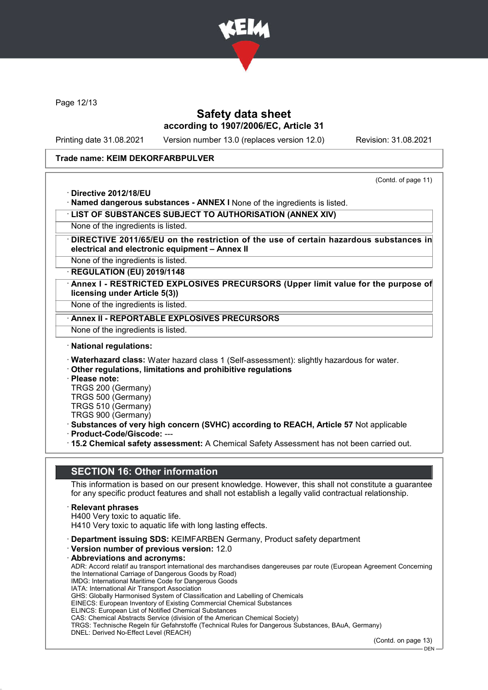

Page 12/13

### Safety data sheet according to 1907/2006/EC, Article 31

Printing date 31.08.2021 Version number 13.0 (replaces version 12.0) Revision: 31.08.2021

(Contd. of page 11)

#### Trade name: KEIM DEKORFARBPULVER

· Directive 2012/18/EU

· Named dangerous substances - ANNEX I None of the ingredients is listed.

· LIST OF SUBSTANCES SUBJECT TO AUTHORISATION (ANNEX XIV)

None of the ingredients is listed.

DIRECTIVE 2011/65/EU on the restriction of the use of certain hazardous substances in electrical and electronic equipment – Annex II

None of the ingredients is listed.

· REGULATION (EU) 2019/1148

Annex I - RESTRICTED EXPLOSIVES PRECURSORS (Upper limit value for the purpose of licensing under Article 5(3))

None of the ingredients is listed.

Annex II - REPORTABLE EXPLOSIVES PRECURSORS

None of the ingredients is listed.

· National regulations:

· Waterhazard class: Water hazard class 1 (Self-assessment): slightly hazardous for water.

· Other regulations, limitations and prohibitive regulations

· Please note:

TRGS 200 (Germany) TRGS 500 (Germany)

TRGS 510 (Germany)

TRGS 900 (Germany)

· Substances of very high concern (SVHC) according to REACH, Article 57 Not applicable · Product-Code/Giscode: ---

· 15.2 Chemical safety assessment: A Chemical Safety Assessment has not been carried out.

### SECTION 16: Other information

This information is based on our present knowledge. However, this shall not constitute a guarantee for any specific product features and shall not establish a legally valid contractual relationship.

- **Relevant phrases**
- H400 Very toxic to aquatic life.

H410 Very toxic to aquatic life with long lasting effects.

- · Department issuing SDS: KEIMFARBEN Germany, Product safety department
- · Version number of previous version: 12.0
- · Abbreviations and acronyms: ADR: Accord relatif au transport international des marchandises dangereuses par route (European Agreement Concerning the International Carriage of Dangerous Goods by Road) IMDG: International Maritime Code for Dangerous Goods IATA: International Air Transport Association GHS: Globally Harmonised System of Classification and Labelling of Chemicals EINECS: European Inventory of Existing Commercial Chemical Substances ELINCS: European List of Notified Chemical Substances CAS: Chemical Abstracts Service (division of the American Chemical Society) TRGS: Technische Regeln für Gefahrstoffe (Technical Rules for Dangerous Substances, BAuA, Germany) DNEL: Derived No-Effect Level (REACH)

(Contd. on page 13)